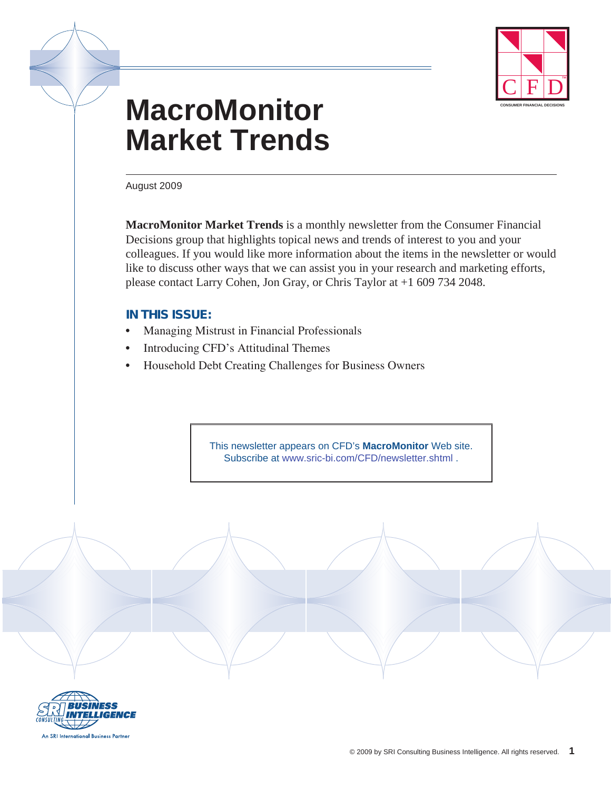

# **MacroMonitor Market Trends**

August 2009

**MacroMonitor Market Trends** is a monthly newsletter from the Consumer Financial Decisions group that highlights topical news and trends of interest to you and your colleagues. If you would like more information about the items in the newsletter or would like to discuss other ways that we can assist you in your research and marketing efforts, please contact Larry Cohen, Jon Gray, or Chris Taylor at +1 609 734 2048.

## **In this issue:**

- Managing Mistrust in Financial Professionals
- Introducing CFD's Attitudinal Themes
- Household Debt Creating Challenges for Business Owners

This newsletter appears on CFD's **MacroMonitor** Web site. Subscribe at [www.sric-bi.com/CFD/newsletter.shtml](http://www.sric-bi.com/cfd/newsletter.shtml) .

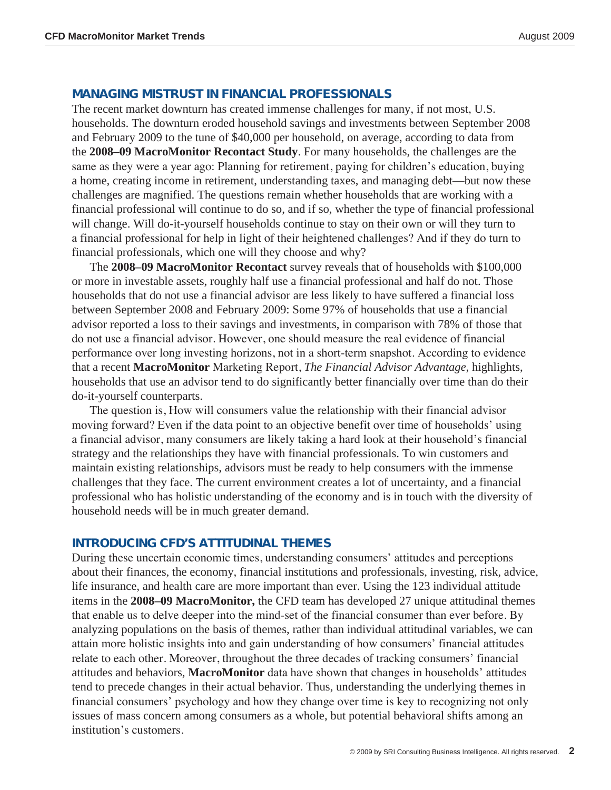#### **Managing Mistrust in Financial Professionals**

The recent market downturn has created immense challenges for many, if not most, U.S. households. The downturn eroded household savings and investments between September 2008 and February 2009 to the tune of \$40,000 per household, on average, according to data from the **2008–09 MacroMonitor Recontact Study**. For many households, the challenges are the same as they were a year ago: Planning for retirement, paying for children's education, buying a home, creating income in retirement, understanding taxes, and managing debt—but now these challenges are magnified. The questions remain whether households that are working with a financial professional will continue to do so, and if so, whether the type of financial professional will change. Will do-it-yourself households continue to stay on their own or will they turn to a financial professional for help in light of their heightened challenges? And if they do turn to financial professionals, which one will they choose and why?

The **2008–09 MacroMonitor Recontact** survey reveals that of households with \$100,000 or more in investable assets, roughly half use a financial professional and half do not. Those households that do not use a financial advisor are less likely to have suffered a financial loss between September 2008 and February 2009: Some 97% of households that use a financial advisor reported a loss to their savings and investments, in comparison with 78% of those that do not use a financial advisor. However, one should measure the real evidence of financial performance over long investing horizons, not in a short-term snapshot. According to evidence that a recent **MacroMonitor** Marketing Report, *The Financial Advisor Advantage*, highlights, households that use an advisor tend to do significantly better financially over time than do their do-it-yourself counterparts.

The question is, How will consumers value the relationship with their financial advisor moving forward? Even if the data point to an objective benefit over time of households' using a financial advisor, many consumers are likely taking a hard look at their household's financial strategy and the relationships they have with financial professionals. To win customers and maintain existing relationships, advisors must be ready to help consumers with the immense challenges that they face. The current environment creates a lot of uncertainty, and a financial professional who has holistic understanding of the economy and is in touch with the diversity of household needs will be in much greater demand.

### **Introducing CFD's Attitudinal Themes**

During these uncertain economic times, understanding consumers' attitudes and perceptions about their finances, the economy, financial institutions and professionals, investing, risk, advice, life insurance, and health care are more important than ever. Using the 123 individual attitude items in the **2008–09 MacroMonitor,** the CFD team has developed 27 unique attitudinal themes that enable us to delve deeper into the mind-set of the financial consumer than ever before. By analyzing populations on the basis of themes, rather than individual attitudinal variables, we can attain more holistic insights into and gain understanding of how consumers' financial attitudes relate to each other. Moreover, throughout the three decades of tracking consumers' financial attitudes and behaviors, **MacroMonitor** data have shown that changes in households' attitudes tend to precede changes in their actual behavior. Thus, understanding the underlying themes in financial consumers' psychology and how they change over time is key to recognizing not only issues of mass concern among consumers as a whole, but potential behavioral shifts among an institution's customers.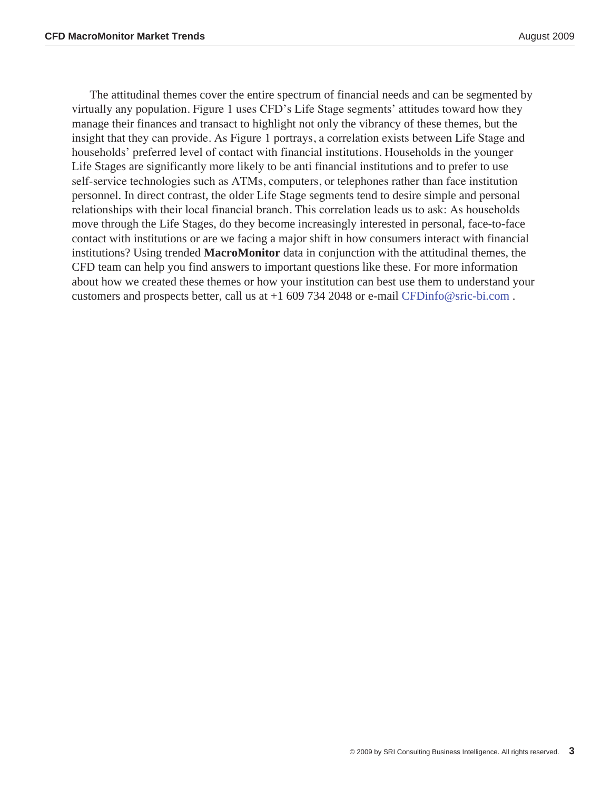The attitudinal themes cover the entire spectrum of financial needs and can be segmented by virtually any population. Figure 1 uses CFD's Life Stage segments' attitudes toward how they manage their finances and transact to highlight not only the vibrancy of these themes, but the insight that they can provide. As Figure 1 portrays, a correlation exists between Life Stage and households' preferred level of contact with financial institutions. Households in the younger Life Stages are significantly more likely to be anti financial institutions and to prefer to use self-service technologies such as ATMs, computers, or telephones rather than face institution personnel. In direct contrast, the older Life Stage segments tend to desire simple and personal relationships with their local financial branch. This correlation leads us to ask: As households move through the Life Stages, do they become increasingly interested in personal, face-to-face contact with institutions or are we facing a major shift in how consumers interact with financial institutions? Using trended **MacroMonitor** data in conjunction with the attitudinal themes, the CFD team can help you find answers to important questions like these. For more information about how we created these themes or how your institution can best use them to understand your customers and prospects better, call us at +1 609 734 2048 or e-mail [CFDinfo@sric-bi.com](mailto:CFDinfo@sric-bi.com) .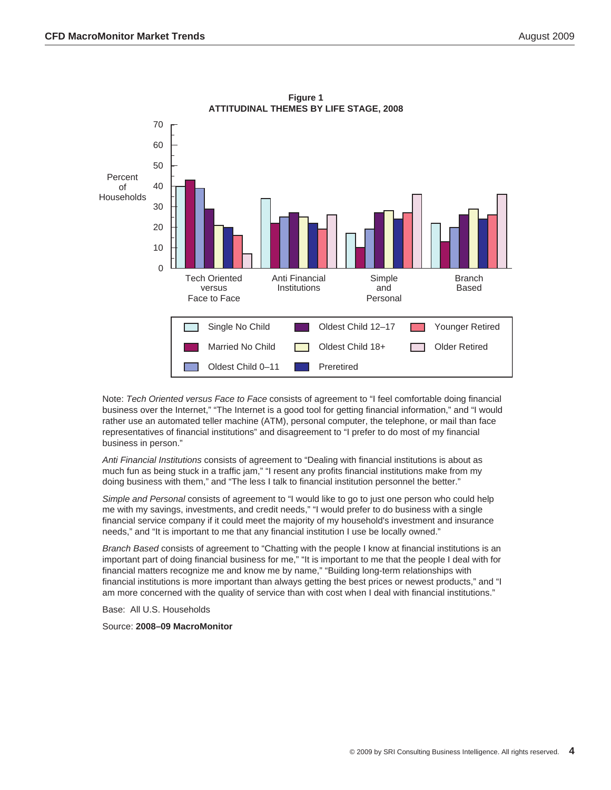

**Figure 1 ATTITUDINAL THEMES BY LIFE STAGE, 2008**

Note: *Tech Oriented versus Face to Face* consists of agreement to "I feel comfortable doing financial business over the Internet," "The Internet is a good tool for getting financial information," and "I would rather use an automated teller machine (ATM), personal computer, the telephone, or mail than face representatives of financial institutions" and disagreement to "I prefer to do most of my financial business in person."

*Anti Financial Institutions* consists of agreement to "Dealing with financial institutions is about as much fun as being stuck in a traffic jam," "I resent any profits financial institutions make from my doing business with them," and "The less I talk to financial institution personnel the better."

*Simple and Personal* consists of agreement to "I would like to go to just one person who could help me with my savings, investments, and credit needs," "I would prefer to do business with a single financial service company if it could meet the majority of my household's investment and insurance needs," and "It is important to me that any financial institution I use be locally owned."

*Branch Based* consists of agreement to "Chatting with the people I know at financial institutions is an important part of doing financial business for me," "It is important to me that the people I deal with for financial matters recognize me and know me by name," "Building long-term relationships with financial institutions is more important than always getting the best prices or newest products," and "I am more concerned with the quality of service than with cost when I deal with financial institutions."

Base: All U.S. Households

Source: **2008–09 MacroMonitor**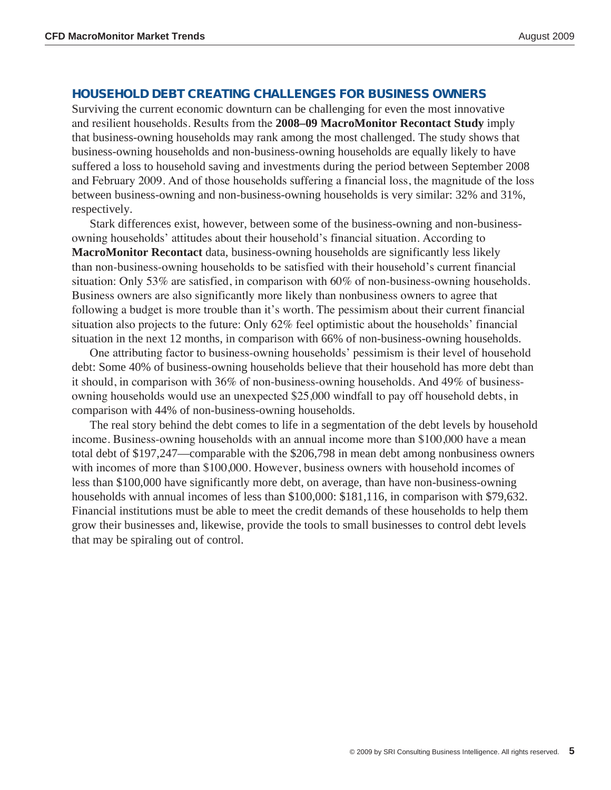## **Household Debt Creating Challenges for Business Owners**

Surviving the current economic downturn can be challenging for even the most innovative and resilient households. Results from the **2008–09 MacroMonitor Recontact Study** imply that business-owning households may rank among the most challenged. The study shows that business-owning households and non-business-owning households are equally likely to have suffered a loss to household saving and investments during the period between September 2008 and February 2009. And of those households suffering a financial loss, the magnitude of the loss between business-owning and non-business-owning households is very similar: 32% and 31%, respectively.

Stark differences exist, however, between some of the business-owning and non-businessowning households' attitudes about their household's financial situation. According to **MacroMonitor Recontact** data, business-owning households are significantly less likely than non-business-owning households to be satisfied with their household's current financial situation: Only 53% are satisfied, in comparison with 60% of non-business-owning households. Business owners are also significantly more likely than nonbusiness owners to agree that following a budget is more trouble than it's worth. The pessimism about their current financial situation also projects to the future: Only 62% feel optimistic about the households' financial situation in the next 12 months, in comparison with 66% of non-business-owning households.

One attributing factor to business-owning households' pessimism is their level of household debt: Some 40% of business-owning households believe that their household has more debt than it should, in comparison with 36% of non-business-owning households. And 49% of businessowning households would use an unexpected \$25,000 windfall to pay off household debts, in comparison with 44% of non-business-owning households.

The real story behind the debt comes to life in a segmentation of the debt levels by household income. Business-owning households with an annual income more than \$100,000 have a mean total debt of \$197,247—comparable with the \$206,798 in mean debt among nonbusiness owners with incomes of more than \$100,000. However, business owners with household incomes of less than \$100,000 have significantly more debt, on average, than have non-business-owning households with annual incomes of less than \$100,000: \$181,116, in comparison with \$79,632. Financial institutions must be able to meet the credit demands of these households to help them grow their businesses and, likewise, provide the tools to small businesses to control debt levels that may be spiraling out of control.